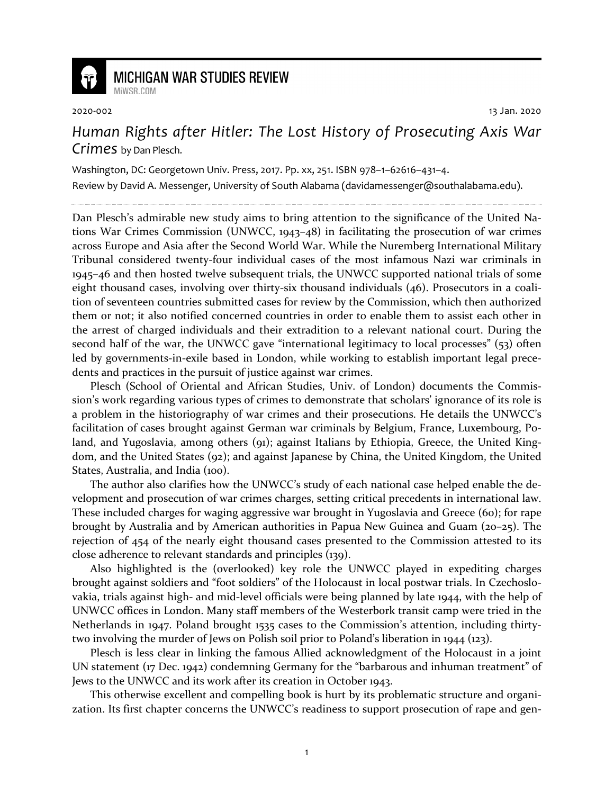

## **MICHIGAN WAR STUDIES REVIEW** MiWSR COM

2020-002 13 Jan. 2020

## *Human Rights after Hitler: The Lost History of Prosecuting Axis War Crimes* by Dan Plesch.

Washington, DC: Georgetown Univ. Press, 2017. Pp. xx, 251. ISBN 978–1–62616–431–4. Review by David A. Messenger, University of South Alabama (davidamessenger@southalabama.edu).

Dan Plesch's admirable new study aims to bring attention to the significance of the United Nations War Crimes Commission (UNWCC, 1943–48) in facilitating the prosecution of war crimes across Europe and Asia after the Second World War. While the Nuremberg International Military Tribunal considered twenty-four individual cases of the most infamous Nazi war criminals in 1945–46 and then hosted twelve subsequent trials, the UNWCC supported national trials of some eight thousand cases, involving over thirty-six thousand individuals (46). Prosecutors in a coalition of seventeen countries submitted cases for review by the Commission, which then authorized them or not; it also notified concerned countries in order to enable them to assist each other in the arrest of charged individuals and their extradition to a relevant national court. During the second half of the war, the UNWCC gave "international legitimacy to local processes" (53) often led by governments-in-exile based in London, while working to establish important legal precedents and practices in the pursuit of justice against war crimes.

Plesch (School of Oriental and African Studies, Univ. of London) documents the Commission's work regarding various types of crimes to demonstrate that scholars' ignorance of its role is a problem in the historiography of war crimes and their prosecutions. He details the UNWCC's facilitation of cases brought against German war criminals by Belgium, France, Luxembourg, Poland, and Yugoslavia, among others (91); against Italians by Ethiopia, Greece, the United Kingdom, and the United States (92); and against Japanese by China, the United Kingdom, the United States, Australia, and India (100).

The author also clarifies how the UNWCC's study of each national case helped enable the development and prosecution of war crimes charges, setting critical precedents in international law. These included charges for waging aggressive war brought in Yugoslavia and Greece (60); for rape brought by Australia and by American authorities in Papua New Guinea and Guam (20–25). The rejection of 454 of the nearly eight thousand cases presented to the Commission attested to its close adherence to relevant standards and principles (139).

Also highlighted is the (overlooked) key role the UNWCC played in expediting charges brought against soldiers and "foot soldiers" of the Holocaust in local postwar trials. In Czechoslovakia, trials against high- and mid-level officials were being planned by late 1944, with the help of UNWCC offices in London. Many staff members of the Westerbork transit camp were tried in the Netherlands in 1947. Poland brought 1535 cases to the Commission's attention, including thirtytwo involving the murder of Jews on Polish soil prior to Poland's liberation in 1944 (123).

Plesch is less clear in linking the famous Allied acknowledgment of the Holocaust in a joint UN statement (17 Dec. 1942) condemning Germany for the "barbarous and inhuman treatment" of Jews to the UNWCC and its work after its creation in October 1943.

This otherwise excellent and compelling book is hurt by its problematic structure and organization. Its first chapter concerns the UNWCC's readiness to support prosecution of rape and gen